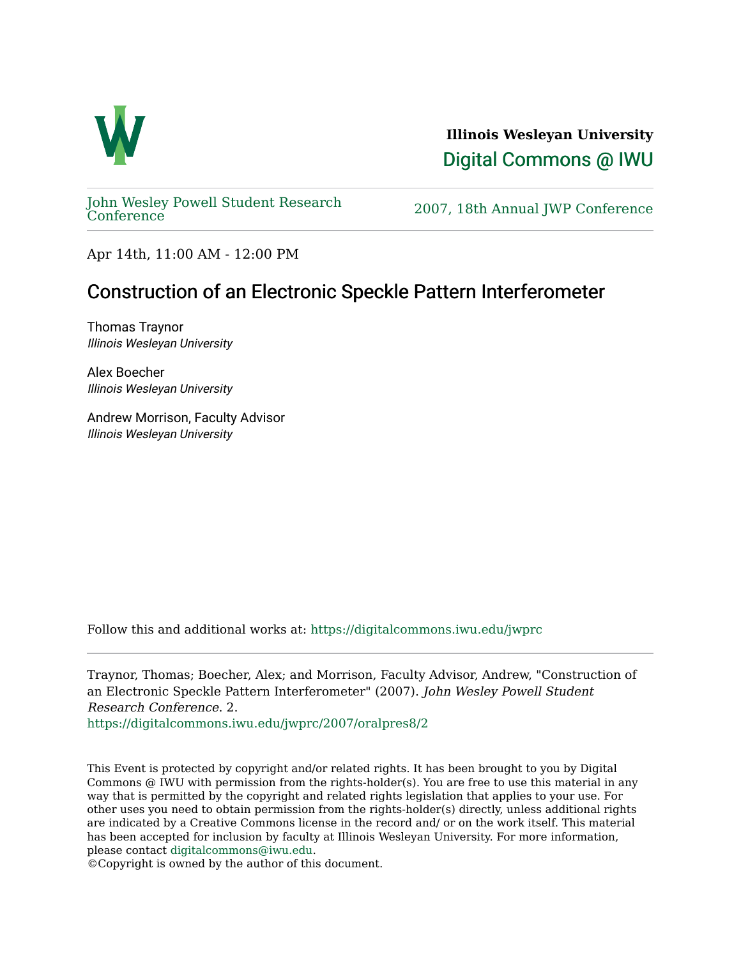

**Illinois Wesleyan University**  [Digital Commons @ IWU](https://digitalcommons.iwu.edu/) 

[John Wesley Powell Student Research](https://digitalcommons.iwu.edu/jwprc) 

2007, 18th Annual JWP [Conference](https://digitalcommons.iwu.edu/jwprc)

Apr 14th, 11:00 AM - 12:00 PM

## Construction of an Electronic Speckle Pattern Interferometer

Thomas Traynor Illinois Wesleyan University

Alex Boecher Illinois Wesleyan University

Andrew Morrison, Faculty Advisor Illinois Wesleyan University

Follow this and additional works at: [https://digitalcommons.iwu.edu/jwprc](https://digitalcommons.iwu.edu/jwprc?utm_source=digitalcommons.iwu.edu%2Fjwprc%2F2007%2Foralpres8%2F2&utm_medium=PDF&utm_campaign=PDFCoverPages) 

Traynor, Thomas; Boecher, Alex; and Morrison, Faculty Advisor, Andrew, "Construction of an Electronic Speckle Pattern Interferometer" (2007). John Wesley Powell Student Research Conference. 2.

[https://digitalcommons.iwu.edu/jwprc/2007/oralpres8/2](https://digitalcommons.iwu.edu/jwprc/2007/oralpres8/2?utm_source=digitalcommons.iwu.edu%2Fjwprc%2F2007%2Foralpres8%2F2&utm_medium=PDF&utm_campaign=PDFCoverPages)

This Event is protected by copyright and/or related rights. It has been brought to you by Digital Commons @ IWU with permission from the rights-holder(s). You are free to use this material in any way that is permitted by the copyright and related rights legislation that applies to your use. For other uses you need to obtain permission from the rights-holder(s) directly, unless additional rights are indicated by a Creative Commons license in the record and/ or on the work itself. This material has been accepted for inclusion by faculty at Illinois Wesleyan University. For more information, please contact [digitalcommons@iwu.edu.](mailto:digitalcommons@iwu.edu)

©Copyright is owned by the author of this document.